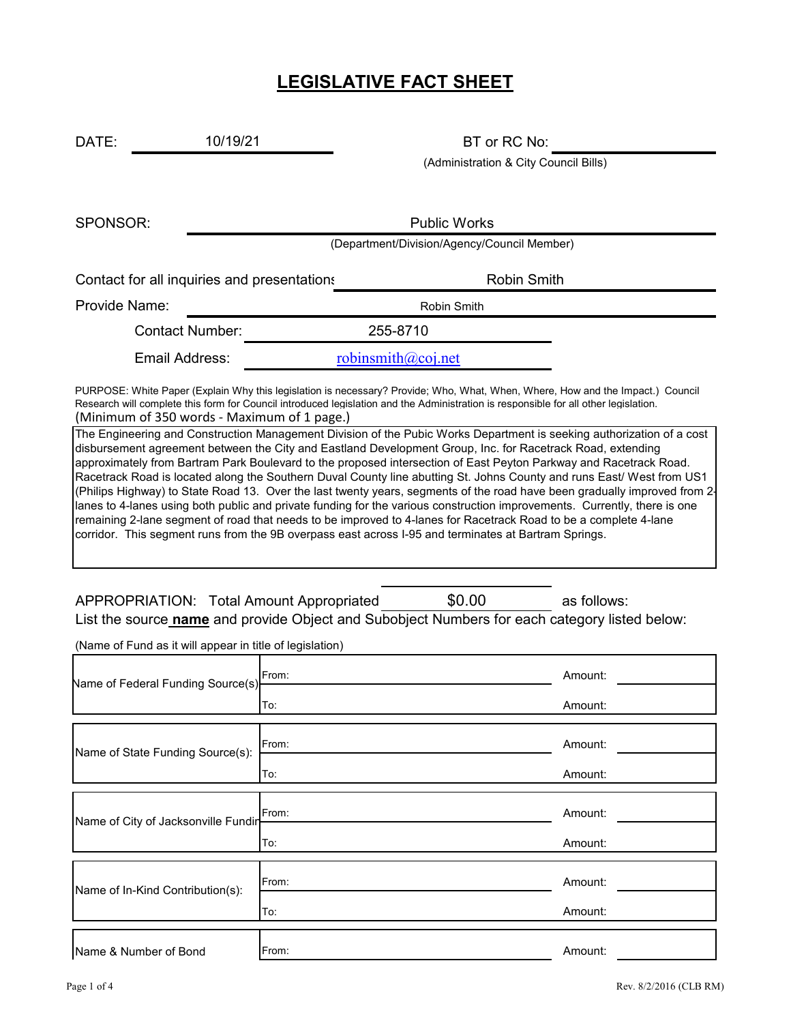# **LEGISLATIVE FACT SHEET**

DATE: 10/19/21 BT or RC No: 10/19/21

(Administration & City Council Bills)

SPONSOR:

Public Works

(Department/Division/Agency/Council Member)

Contact for all inquiries and presentations **Example 20** Robin Smith

Provide Name: Name: Robin Smith

Contact Number: 255-8710

Email Address: [r](mailto:robinsmith@coj.net)obinsmith@coj.net

(Minimum of 350 words - Maximum of 1 page.) PURPOSE: White Paper (Explain Why this legislation is necessary? Provide; Who, What, When, Where, How and the Impact.) Council Research will complete this form for Council introduced legislation and the Administration is responsible for all other legislation.

The Engineering and Construction Management Division of the Pubic Works Department is seeking authorization of a cost disbursement agreement between the City and Eastland Development Group, Inc. for Racetrack Road, extending approximately from Bartram Park Boulevard to the proposed intersection of East Peyton Parkway and Racetrack Road. Racetrack Road is located along the Southern Duval County line abutting St. Johns County and runs East/ West from US1 (Philips Highway) to State Road 13. Over the last twenty years, segments of the road have been gradually improved from 2 lanes to 4-lanes using both public and private funding for the various construction improvements. Currently, there is one remaining 2-lane segment of road that needs to be improved to 4-lanes for Racetrack Road to be a complete 4-lane corridor. This segment runs from the 9B overpass east across I-95 and terminates at Bartram Springs.

APPROPRIATION: Total Amount Appropriated  $$0.00$  as follows: \$0.00 List the source **name** and provide Object and Subobject Numbers for each category listed below:

(Name of Fund as it will appear in title of legislation)

| Name of Federal Funding Source(s)   | From: | Amount: |
|-------------------------------------|-------|---------|
|                                     | To:   | Amount: |
| Name of State Funding Source(s):    | From: | Amount: |
|                                     | To:   | Amount: |
| Name of City of Jacksonville Fundin | From: | Amount: |
|                                     | To:   | Amount: |
| Name of In-Kind Contribution(s):    | From: | Amount: |
|                                     | To:   | Amount: |
| Name & Number of Bond               | From: | Amount: |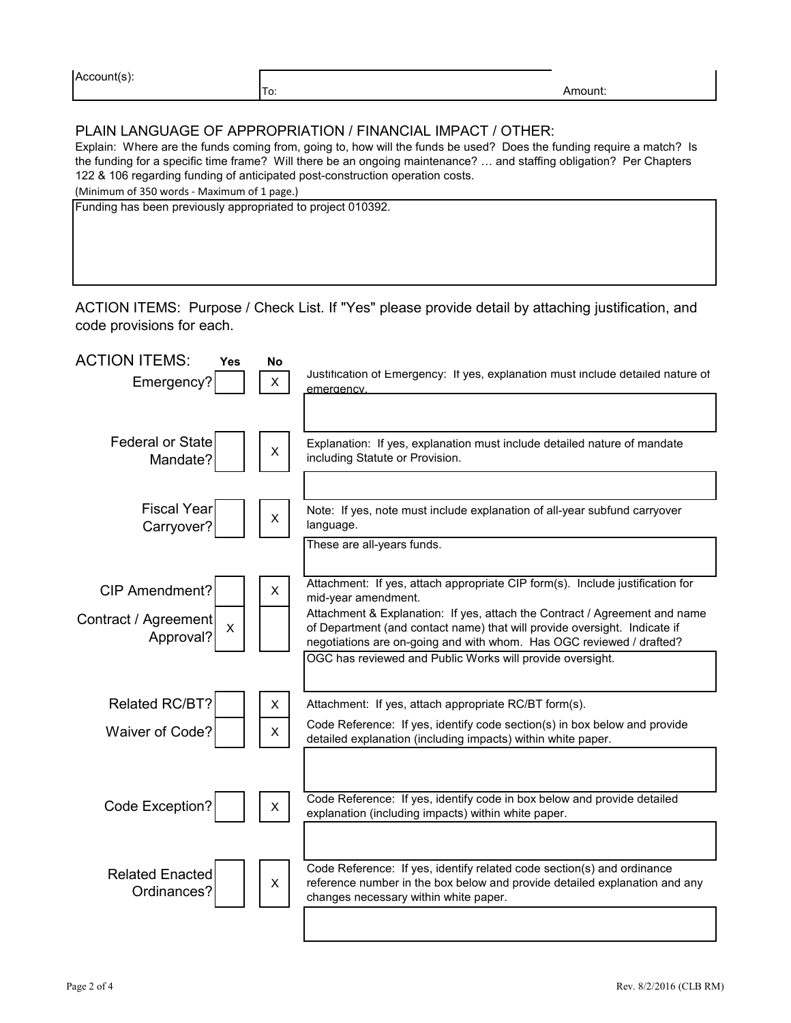| $\mathbf{r}$<br>A( |           |  |
|--------------------|-----------|--|
|                    | $\cdot$ . |  |

### PLAIN LANGUAGE OF APPROPRIATION / FINANCIAL IMPACT / OTHER:

Explain: Where are the funds coming from, going to, how will the funds be used? Does the funding require a match? Is the funding for a specific time frame? Will there be an ongoing maintenance? … and staffing obligation? Per Chapters 122 & 106 regarding funding of anticipated post-construction operation costs.

(Minimum of 350 words - Maximum of 1 page.)

Funding has been previously appropriated to project 010392.

ACTION ITEMS: Purpose / Check List. If "Yes" please provide detail by attaching justification, and code provisions for each.

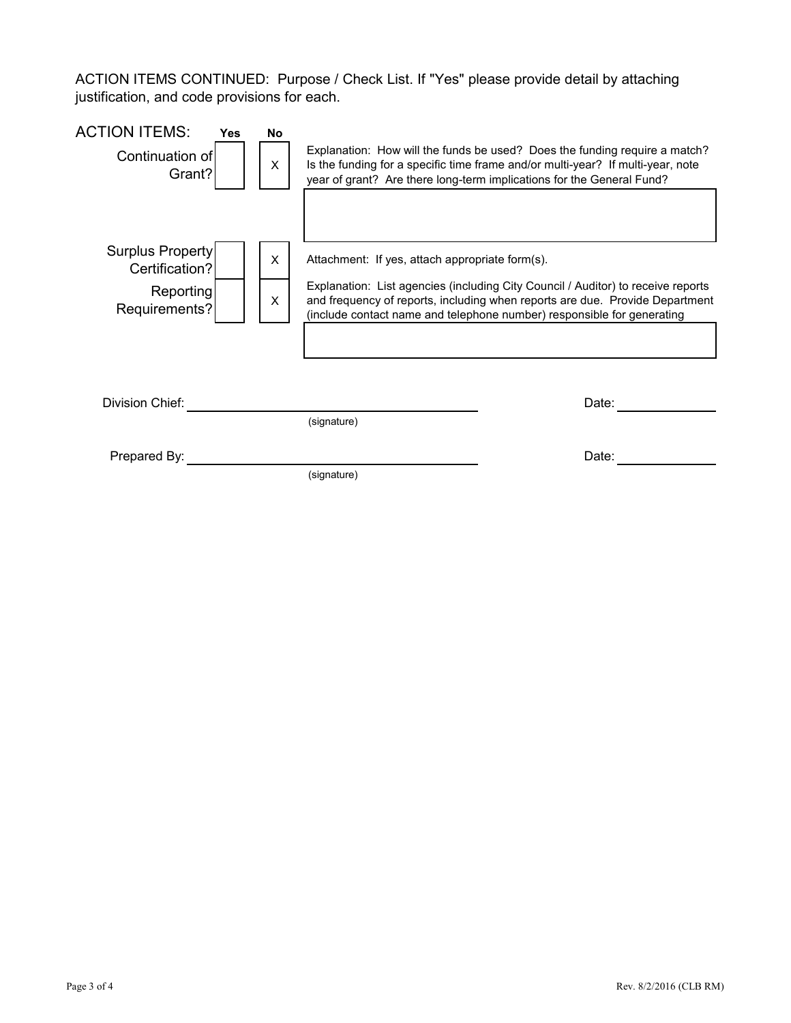ACTION ITEMS CONTINUED: Purpose / Check List. If "Yes" please provide detail by attaching justification, and code provisions for each.